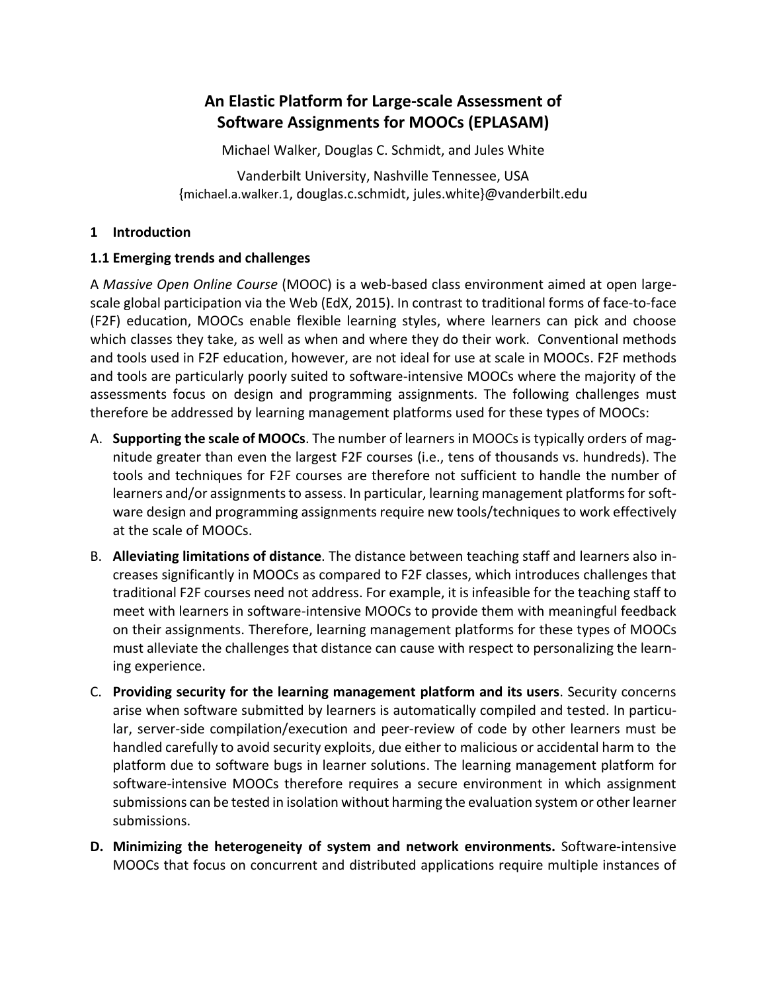# **An Elastic Platform for Large-scale Assessment of Software Assignments for MOOCs (EPLASAM)**

Michael Walker, Douglas C. Schmidt, and Jules White

Vanderbilt University, Nashville Tennessee, USA {michael.a.walker.1, douglas.c.schmidt, jules.white}@vanderbilt.edu

#### **1 Introduction**

#### **1.1 Emerging trends and challenges**

A *Massive Open Online Course* (MOOC) is a web-based class environment aimed at open largescale global participation via the Web (EdX, 2015). In contrast to traditional forms of face-to-face (F2F) education, MOOCs enable flexible learning styles, where learners can pick and choose which classes they take, as well as when and where they do their work. Conventional methods and tools used in F2F education, however, are not ideal for use at scale in MOOCs. F2F methods and tools are particularly poorly suited to software-intensive MOOCs where the majority of the assessments focus on design and programming assignments. The following challenges must therefore be addressed by learning management platforms used for these types of MOOCs:

- A. **Supporting the scale of MOOCs**. The number of learners in MOOCs is typically orders of magnitude greater than even the largest F2F courses (i.e., tens of thousands vs. hundreds). The tools and techniques for F2F courses are therefore not sufficient to handle the number of learners and/or assignments to assess. In particular, learning management platforms for software design and programming assignments require new tools/techniques to work effectively at the scale of MOOCs.
- B. **Alleviating limitations of distance**. The distance between teaching staff and learners also increases significantly in MOOCs as compared to F2F classes, which introduces challenges that traditional F2F courses need not address. For example, it is infeasible for the teaching staff to meet with learners in software-intensive MOOCs to provide them with meaningful feedback on their assignments. Therefore, learning management platforms for these types of MOOCs must alleviate the challenges that distance can cause with respect to personalizing the learning experience.
- C. **Providing security for the learning management platform and its users**. Security concerns arise when software submitted by learners is automatically compiled and tested. In particular, server-side compilation/execution and peer-review of code by other learners must be handled carefully to avoid security exploits, due either to malicious or accidental harm to the platform due to software bugs in learner solutions. The learning management platform for software-intensive MOOCs therefore requires a secure environment in which assignment submissions can be tested in isolation without harming the evaluation system or other learner submissions.
- **D. Minimizing the heterogeneity of system and network environments.** Software-intensive MOOCs that focus on concurrent and distributed applications require multiple instances of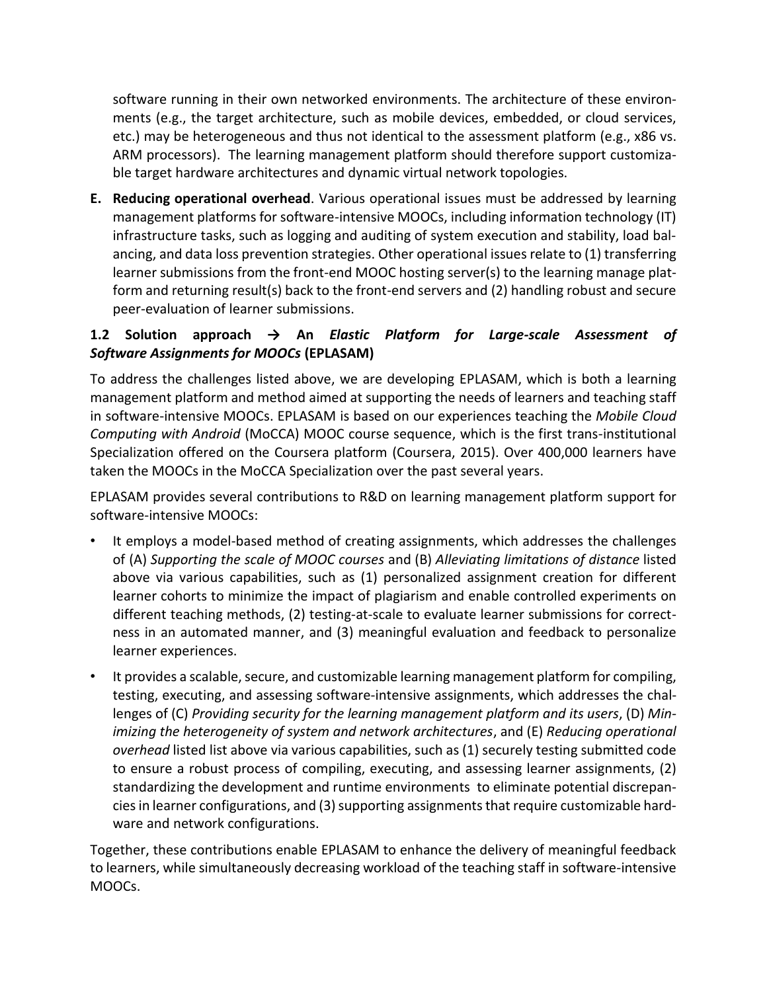software running in their own networked environments. The architecture of these environments (e.g., the target architecture, such as mobile devices, embedded, or cloud services, etc.) may be heterogeneous and thus not identical to the assessment platform (e.g., x86 vs. ARM processors). The learning management platform should therefore support customizable target hardware architectures and dynamic virtual network topologies.

**E. Reducing operational overhead**. Various operational issues must be addressed by learning management platforms for software-intensive MOOCs, including information technology (IT) infrastructure tasks, such as logging and auditing of system execution and stability, load balancing, and data loss prevention strategies. Other operational issues relate to (1) transferring learner submissions from the front-end MOOC hosting server(s) to the learning manage platform and returning result(s) back to the front-end servers and (2) handling robust and secure peer-evaluation of learner submissions.

### **1.2 Solution approach → An** *Elastic Platform for Large-scale Assessment of Software Assignments for MOOCs* **(EPLASAM)**

To address the challenges listed above, we are developing EPLASAM, which is both a learning management platform and method aimed at supporting the needs of learners and teaching staff in software-intensive MOOCs. EPLASAM is based on our experiences teaching the *Mobile Cloud Computing with Android* (MoCCA) MOOC course sequence, which is the first trans-institutional Specialization offered on the Coursera platform (Coursera, 2015). Over 400,000 learners have taken the MOOCs in the MoCCA Specialization over the past several years.

EPLASAM provides several contributions to R&D on learning management platform support for software-intensive MOOCs:

- It employs a model-based method of creating assignments, which addresses the challenges of (A) *Supporting the scale of MOOC courses* and (B) *Alleviating limitations of distance* listed above via various capabilities, such as (1) personalized assignment creation for different learner cohorts to minimize the impact of plagiarism and enable controlled experiments on different teaching methods, (2) testing-at-scale to evaluate learner submissions for correctness in an automated manner, and (3) meaningful evaluation and feedback to personalize learner experiences.
- It provides a scalable, secure, and customizable learning management platform for compiling, testing, executing, and assessing software-intensive assignments, which addresses the challenges of (C) *Providing security for the learning management platform and its users*, (D) *Minimizing the heterogeneity of system and network architectures*, and (E) *Reducing operational overhead* listed list above via various capabilities, such as (1) securely testing submitted code to ensure a robust process of compiling, executing, and assessing learner assignments, (2) standardizing the development and runtime environments to eliminate potential discrepancies in learner configurations, and (3) supporting assignments that require customizable hardware and network configurations.

Together, these contributions enable EPLASAM to enhance the delivery of meaningful feedback to learners, while simultaneously decreasing workload of the teaching staff in software-intensive MOOCs.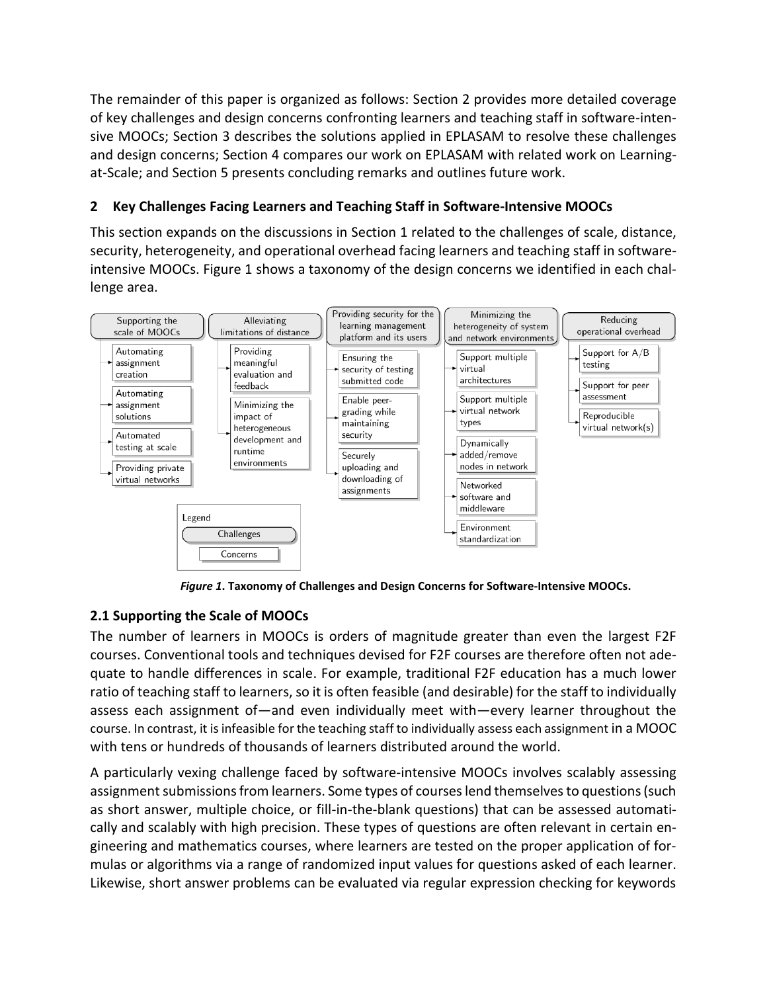The remainder of this paper is organized as follows: Section 2 provides more detailed coverage of key challenges and design concerns confronting learners and teaching staff in software-intensive MOOCs; Section 3 describes the solutions applied in EPLASAM to resolve these challenges and design concerns; Section 4 compares our work on EPLASAM with related work on Learningat-Scale; and Section 5 presents concluding remarks and outlines future work.

### **2 Key Challenges Facing Learners and Teaching Staff in Software-Intensive MOOCs**

This section expands on the discussions in Section 1 related to the challenges of scale, distance, security, heterogeneity, and operational overhead facing learners and teaching staff in softwareintensive MOOCs. Figure 1 shows a taxonomy of the design concerns we identified in each challenge area.



*Figure 1***. Taxonomy of Challenges and Design Concerns for Software-Intensive MOOCs.** 

### **2.1 Supporting the Scale of MOOCs**

The number of learners in MOOCs is orders of magnitude greater than even the largest F2F courses. Conventional tools and techniques devised for F2F courses are therefore often not adequate to handle differences in scale. For example, traditional F2F education has a much lower ratio of teaching staff to learners, so it is often feasible (and desirable) for the staff to individually assess each assignment of—and even individually meet with—every learner throughout the course. In contrast, it is infeasible for the teaching staff to individually assess each assignment in a MOOC with tens or hundreds of thousands of learners distributed around the world.

A particularly vexing challenge faced by software-intensive MOOCs involves scalably assessing assignment submissions from learners. Some types of courses lend themselves to questions (such as short answer, multiple choice, or fill-in-the-blank questions) that can be assessed automatically and scalably with high precision. These types of questions are often relevant in certain engineering and mathematics courses, where learners are tested on the proper application of formulas or algorithms via a range of randomized input values for questions asked of each learner. Likewise, short answer problems can be evaluated via regular expression checking for keywords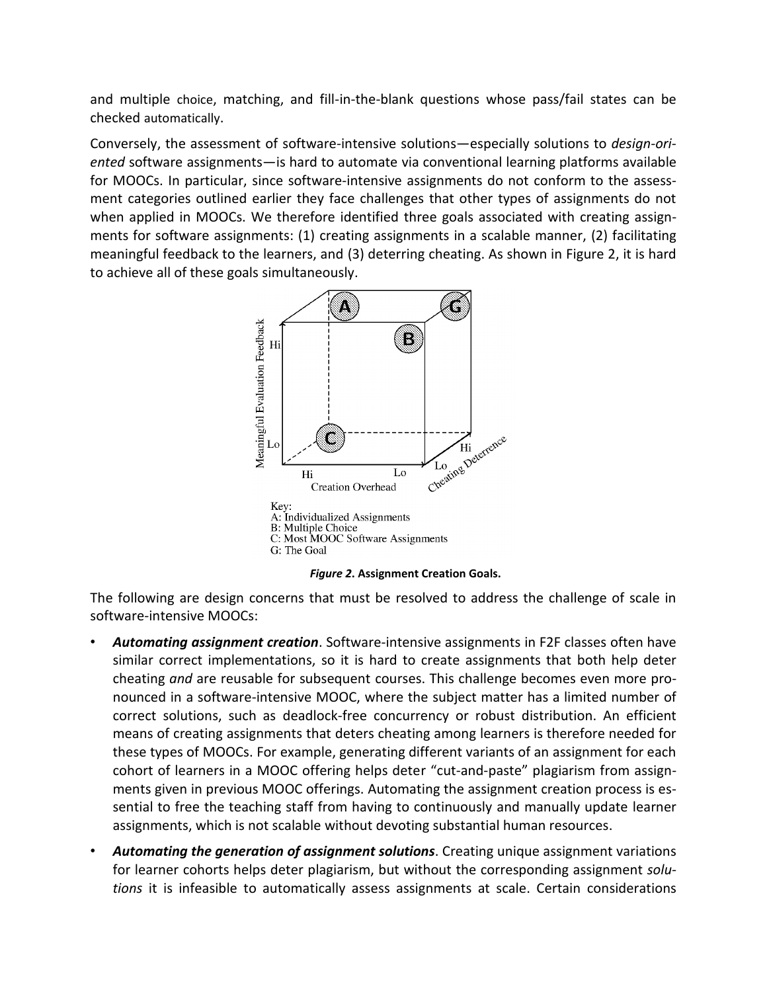and multiple choice, matching, and fill-in-the-blank questions whose pass/fail states can be checked automatically.

Conversely, the assessment of software-intensive solutions—especially solutions to *design-oriented* software assignments—is hard to automate via conventional learning platforms available for MOOCs. In particular, since software-intensive assignments do not conform to the assessment categories outlined earlier they face challenges that other types of assignments do not when applied in MOOCs. We therefore identified three goals associated with creating assignments for software assignments: (1) creating assignments in a scalable manner, (2) facilitating meaningful feedback to the learners, and (3) deterring cheating. As shown in Figure 2, it is hard to achieve all of these goals simultaneously.



*Figure 2***. Assignment Creation Goals.**

The following are design concerns that must be resolved to address the challenge of scale in software-intensive MOOCs:

- *Automating assignment creation*. Software-intensive assignments in F2F classes often have similar correct implementations, so it is hard to create assignments that both help deter cheating *and* are reusable for subsequent courses. This challenge becomes even more pronounced in a software-intensive MOOC, where the subject matter has a limited number of correct solutions, such as deadlock-free concurrency or robust distribution. An efficient means of creating assignments that deters cheating among learners is therefore needed for these types of MOOCs. For example, generating different variants of an assignment for each cohort of learners in a MOOC offering helps deter "cut-and-paste" plagiarism from assignments given in previous MOOC offerings. Automating the assignment creation process is essential to free the teaching staff from having to continuously and manually update learner assignments, which is not scalable without devoting substantial human resources.
- *Automating the generation of assignment solutions*. Creating unique assignment variations for learner cohorts helps deter plagiarism, but without the corresponding assignment *solutions* it is infeasible to automatically assess assignments at scale. Certain considerations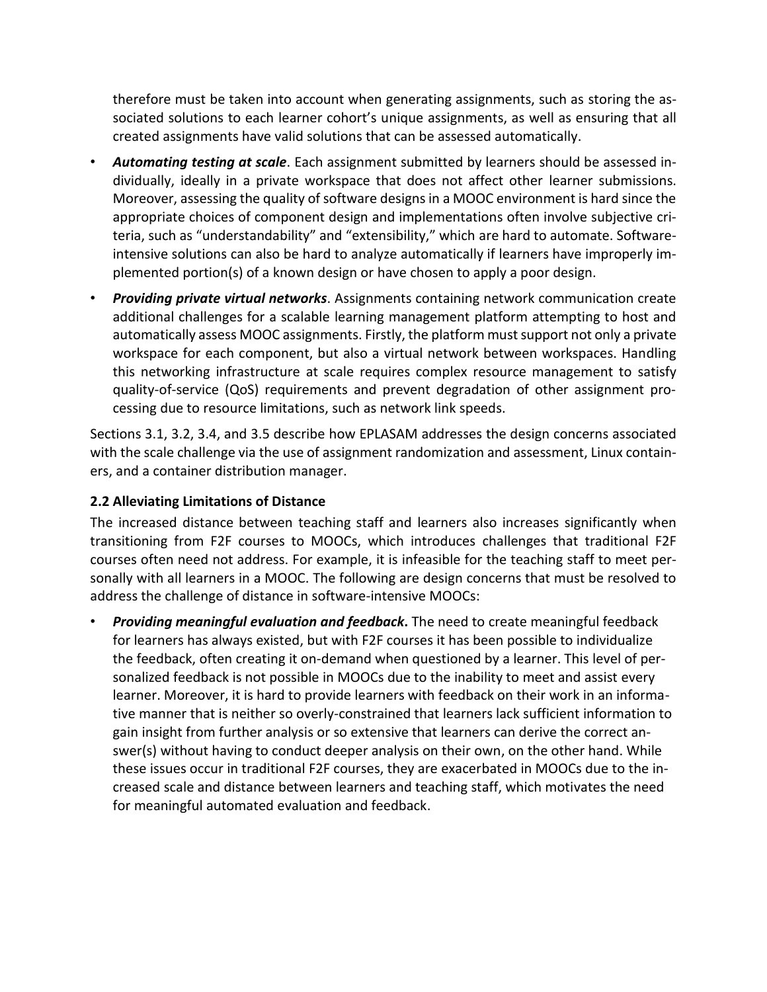therefore must be taken into account when generating assignments, such as storing the associated solutions to each learner cohort's unique assignments, as well as ensuring that all created assignments have valid solutions that can be assessed automatically.

- *Automating testing at scale*. Each assignment submitted by learners should be assessed individually, ideally in a private workspace that does not affect other learner submissions. Moreover, assessing the quality of software designs in a MOOC environment is hard since the appropriate choices of component design and implementations often involve subjective criteria, such as "understandability" and "extensibility," which are hard to automate. Softwareintensive solutions can also be hard to analyze automatically if learners have improperly implemented portion(s) of a known design or have chosen to apply a poor design.
- *Providing private virtual networks*. Assignments containing network communication create additional challenges for a scalable learning management platform attempting to host and automatically assess MOOC assignments. Firstly, the platform must support not only a private workspace for each component, but also a virtual network between workspaces. Handling this networking infrastructure at scale requires complex resource management to satisfy quality-of-service (QoS) requirements and prevent degradation of other assignment processing due to resource limitations, such as network link speeds.

Sections 3.1, 3.2, 3.4, and 3.5 describe how EPLASAM addresses the design concerns associated with the scale challenge via the use of assignment randomization and assessment, Linux containers, and a container distribution manager.

### **2.2 Alleviating Limitations of Distance**

The increased distance between teaching staff and learners also increases significantly when transitioning from F2F courses to MOOCs, which introduces challenges that traditional F2F courses often need not address. For example, it is infeasible for the teaching staff to meet personally with all learners in a MOOC. The following are design concerns that must be resolved to address the challenge of distance in software-intensive MOOCs:

• *Providing meaningful evaluation and feedback***.** The need to create meaningful feedback for learners has always existed, but with F2F courses it has been possible to individualize the feedback, often creating it on-demand when questioned by a learner. This level of personalized feedback is not possible in MOOCs due to the inability to meet and assist every learner. Moreover, it is hard to provide learners with feedback on their work in an informative manner that is neither so overly-constrained that learners lack sufficient information to gain insight from further analysis or so extensive that learners can derive the correct answer(s) without having to conduct deeper analysis on their own, on the other hand. While these issues occur in traditional F2F courses, they are exacerbated in MOOCs due to the increased scale and distance between learners and teaching staff, which motivates the need for meaningful automated evaluation and feedback.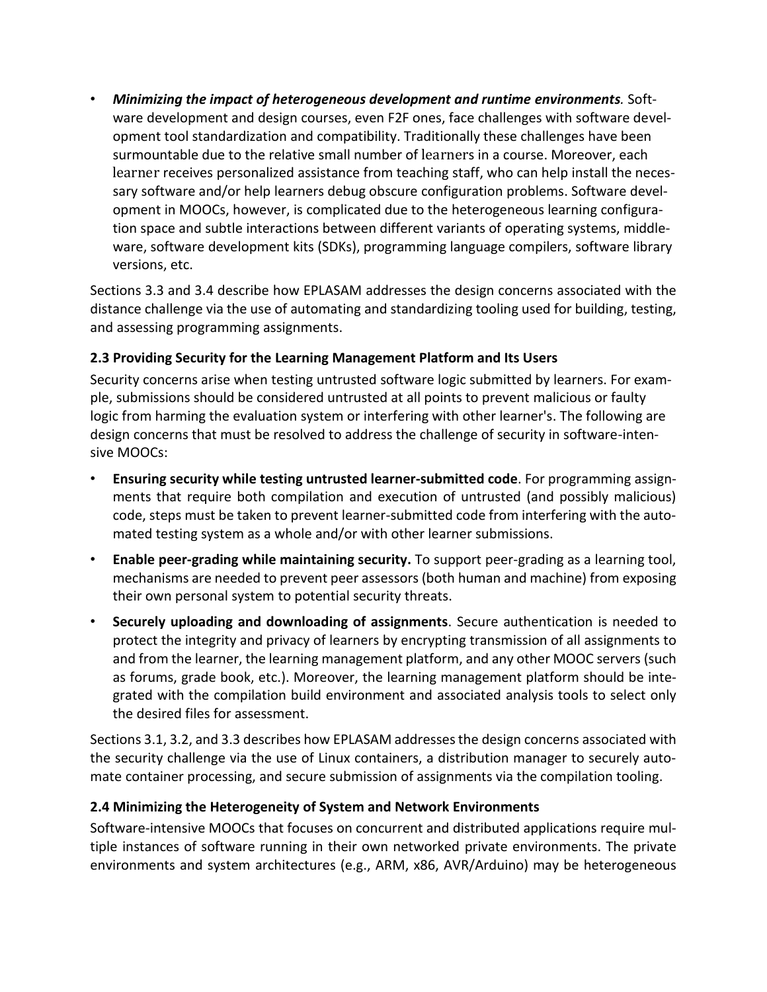• *Minimizing the impact of heterogeneous development and runtime environments.* Software development and design courses, even F2F ones, face challenges with software development tool standardization and compatibility. Traditionally these challenges have been surmountable due to the relative small number of learners in a course. Moreover, each learner receives personalized assistance from teaching staff, who can help install the necessary software and/or help learners debug obscure configuration problems. Software development in MOOCs, however, is complicated due to the heterogeneous learning configuration space and subtle interactions between different variants of operating systems, middleware, software development kits (SDKs), programming language compilers, software library versions, etc.

Sections 3.3 and 3.4 describe how EPLASAM addresses the design concerns associated with the distance challenge via the use of automating and standardizing tooling used for building, testing, and assessing programming assignments.

### **2.3 Providing Security for the Learning Management Platform and Its Users**

Security concerns arise when testing untrusted software logic submitted by learners. For example, submissions should be considered untrusted at all points to prevent malicious or faulty logic from harming the evaluation system or interfering with other learner's. The following are design concerns that must be resolved to address the challenge of security in software-intensive MOOCs:

- **Ensuring security while testing untrusted learner-submitted code**. For programming assignments that require both compilation and execution of untrusted (and possibly malicious) code, steps must be taken to prevent learner-submitted code from interfering with the automated testing system as a whole and/or with other learner submissions.
- **Enable peer-grading while maintaining security.** To support peer-grading as a learning tool, mechanisms are needed to prevent peer assessors (both human and machine) from exposing their own personal system to potential security threats.
- **Securely uploading and downloading of assignments**. Secure authentication is needed to protect the integrity and privacy of learners by encrypting transmission of all assignments to and from the learner, the learning management platform, and any other MOOC servers (such as forums, grade book, etc.). Moreover, the learning management platform should be integrated with the compilation build environment and associated analysis tools to select only the desired files for assessment.

Sections 3.1, 3.2, and 3.3 describes how EPLASAM addresses the design concerns associated with the security challenge via the use of Linux containers, a distribution manager to securely automate container processing, and secure submission of assignments via the compilation tooling.

#### **2.4 Minimizing the Heterogeneity of System and Network Environments**

Software-intensive MOOCs that focuses on concurrent and distributed applications require multiple instances of software running in their own networked private environments. The private environments and system architectures (e.g., ARM, x86, AVR/Arduino) may be heterogeneous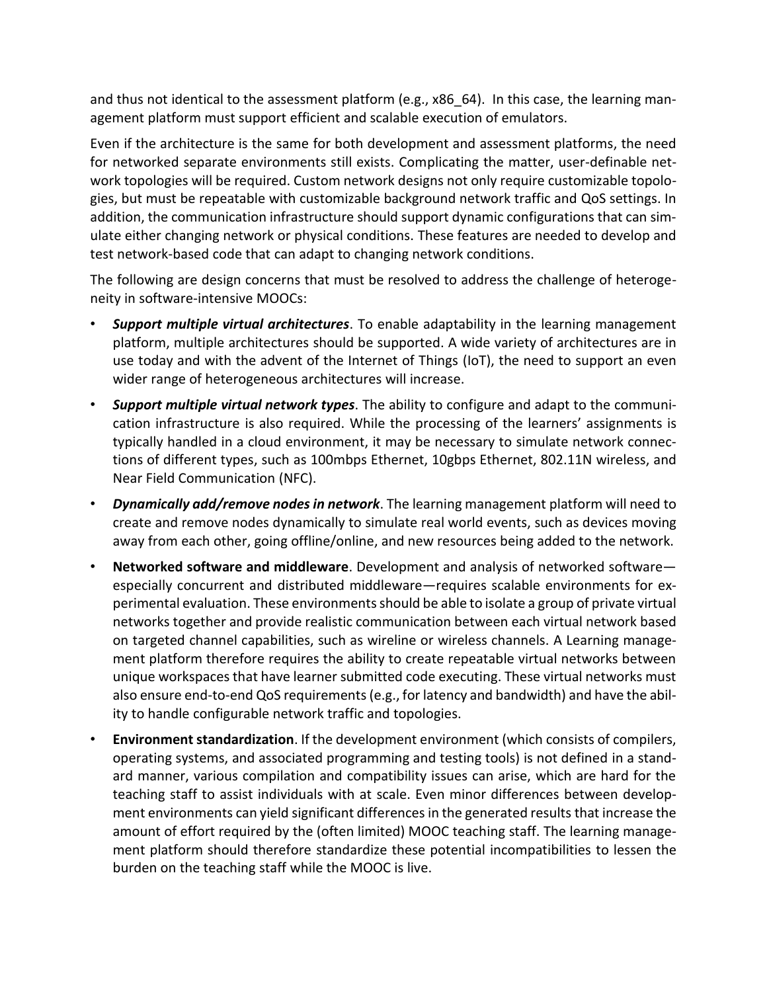and thus not identical to the assessment platform (e.g., x86 64). In this case, the learning management platform must support efficient and scalable execution of emulators.

Even if the architecture is the same for both development and assessment platforms, the need for networked separate environments still exists. Complicating the matter, user-definable network topologies will be required. Custom network designs not only require customizable topologies, but must be repeatable with customizable background network traffic and QoS settings. In addition, the communication infrastructure should support dynamic configurations that can simulate either changing network or physical conditions. These features are needed to develop and test network-based code that can adapt to changing network conditions.

The following are design concerns that must be resolved to address the challenge of heterogeneity in software-intensive MOOCs:

- *Support multiple virtual architectures*. To enable adaptability in the learning management platform, multiple architectures should be supported. A wide variety of architectures are in use today and with the advent of the Internet of Things (IoT), the need to support an even wider range of heterogeneous architectures will increase.
- *Support multiple virtual network types*. The ability to configure and adapt to the communication infrastructure is also required. While the processing of the learners' assignments is typically handled in a cloud environment, it may be necessary to simulate network connections of different types, such as 100mbps Ethernet, 10gbps Ethernet, 802.11N wireless, and Near Field Communication (NFC).
- *Dynamically add/remove nodes in network*. The learning management platform will need to create and remove nodes dynamically to simulate real world events, such as devices moving away from each other, going offline/online, and new resources being added to the network.
- **Networked software and middleware**. Development and analysis of networked software especially concurrent and distributed middleware—requires scalable environments for experimental evaluation. These environmentsshould be able to isolate a group of private virtual networks together and provide realistic communication between each virtual network based on targeted channel capabilities, such as wireline or wireless channels. A Learning management platform therefore requires the ability to create repeatable virtual networks between unique workspaces that have learner submitted code executing. These virtual networks must also ensure end-to-end QoS requirements(e.g., for latency and bandwidth) and have the ability to handle configurable network traffic and topologies.
- **Environment standardization**. If the development environment (which consists of compilers, operating systems, and associated programming and testing tools) is not defined in a standard manner, various compilation and compatibility issues can arise, which are hard for the teaching staff to assist individuals with at scale. Even minor differences between development environments can yield significant differences in the generated results that increase the amount of effort required by the (often limited) MOOC teaching staff. The learning management platform should therefore standardize these potential incompatibilities to lessen the burden on the teaching staff while the MOOC is live.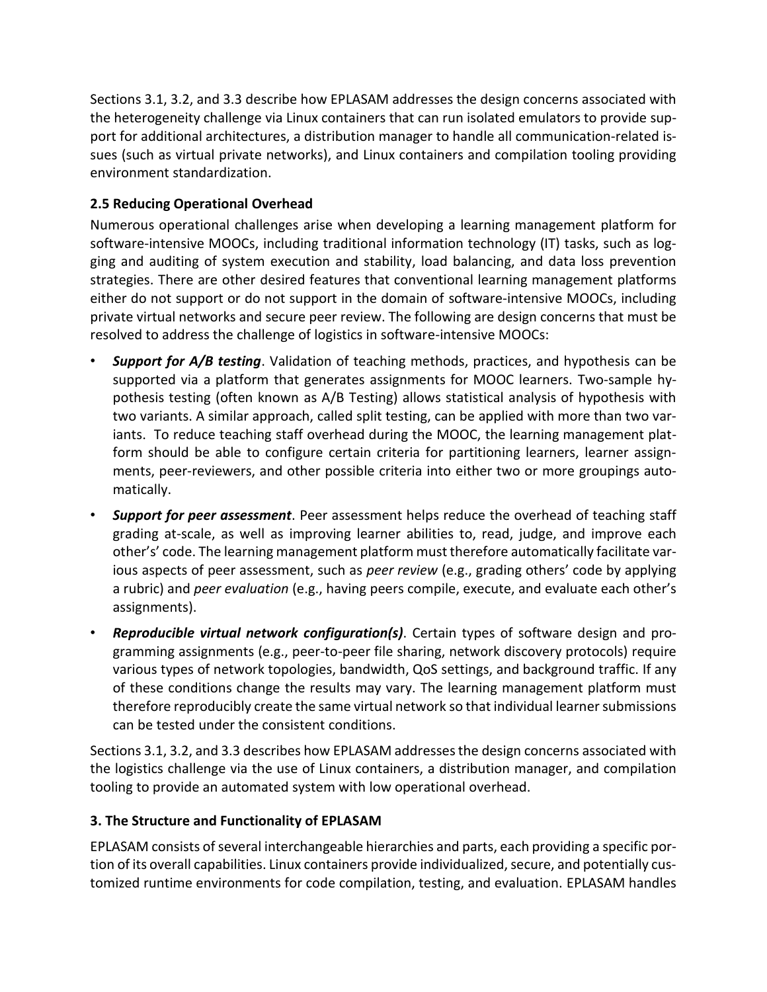Sections 3.1, 3.2, and 3.3 describe how EPLASAM addresses the design concerns associated with the heterogeneity challenge via Linux containers that can run isolated emulators to provide support for additional architectures, a distribution manager to handle all communication-related issues (such as virtual private networks), and Linux containers and compilation tooling providing environment standardization.

## **2.5 Reducing Operational Overhead**

Numerous operational challenges arise when developing a learning management platform for software-intensive MOOCs, including traditional information technology (IT) tasks, such as logging and auditing of system execution and stability, load balancing, and data loss prevention strategies. There are other desired features that conventional learning management platforms either do not support or do not support in the domain of software-intensive MOOCs, including private virtual networks and secure peer review. The following are design concerns that must be resolved to address the challenge of logistics in software-intensive MOOCs:

- *Support for A/B testing*. Validation of teaching methods, practices, and hypothesis can be supported via a platform that generates assignments for MOOC learners. Two-sample hypothesis testing (often known as A/B Testing) allows statistical analysis of hypothesis with two variants. A similar approach, called split testing, can be applied with more than two variants. To reduce teaching staff overhead during the MOOC, the learning management platform should be able to configure certain criteria for partitioning learners, learner assignments, peer-reviewers, and other possible criteria into either two or more groupings automatically.
- *Support for peer assessment*. Peer assessment helps reduce the overhead of teaching staff grading at-scale, as well as improving learner abilities to, read, judge, and improve each other's' code. The learning management platform must therefore automatically facilitate various aspects of peer assessment, such as *peer review* (e.g., grading others' code by applying a rubric) and *peer evaluation* (e.g., having peers compile, execute, and evaluate each other's assignments).
- *Reproducible virtual network configuration(s)*. Certain types of software design and programming assignments (e.g., peer-to-peer file sharing, network discovery protocols) require various types of network topologies, bandwidth, QoS settings, and background traffic. If any of these conditions change the results may vary. The learning management platform must therefore reproducibly create the same virtual network so that individual learner submissions can be tested under the consistent conditions.

Sections 3.1, 3.2, and 3.3 describes how EPLASAM addresses the design concerns associated with the logistics challenge via the use of Linux containers, a distribution manager, and compilation tooling to provide an automated system with low operational overhead.

### **3. The Structure and Functionality of EPLASAM**

EPLASAM consists of several interchangeable hierarchies and parts, each providing a specific portion of its overall capabilities. Linux containers provide individualized, secure, and potentially customized runtime environments for code compilation, testing, and evaluation. EPLASAM handles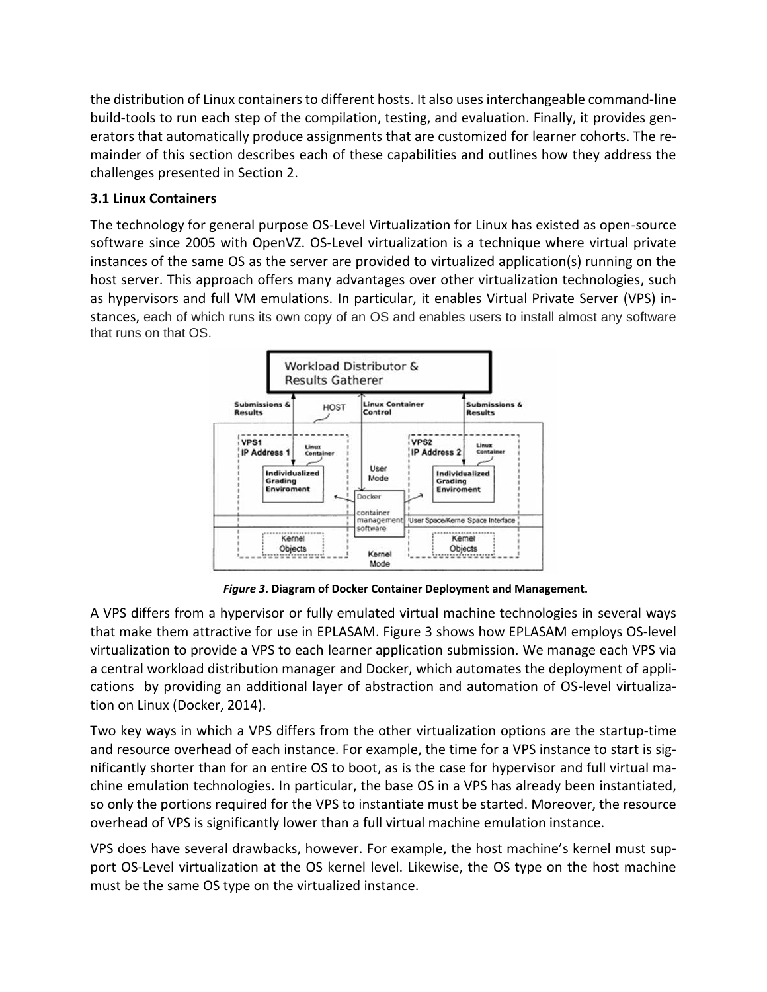the distribution of Linux containers to different hosts. It also uses interchangeable command-line build-tools to run each step of the compilation, testing, and evaluation. Finally, it provides generators that automatically produce assignments that are customized for learner cohorts. The remainder of this section describes each of these capabilities and outlines how they address the challenges presented in Section 2.

### **3.1 Linux Containers**

The technology for general purpose OS-Level Virtualization for Linux has existed as open-source software since 2005 with OpenVZ. OS-Level virtualization is a technique where virtual private instances of the same OS as the server are provided to virtualized application(s) running on the host server. This approach offers many advantages over other virtualization technologies, such as hypervisors and full VM emulations. In particular, it enables Virtual Private Server (VPS) instances, each of which runs its own copy of an OS and enables users to install almost any software that runs on that OS.



*Figure 3***. Diagram of Docker Container Deployment and Management.**

A VPS differs from a hypervisor or fully emulated virtual machine technologies in several ways that make them attractive for use in EPLASAM. Figure 3 shows how EPLASAM employs OS-level virtualization to provide a VPS to each learner application submission. We manage each VPS via a central workload distribution manager and Docker, which automates the deployment of applications by providing an additional layer of abstraction and automation of OS-level virtualization on Linux (Docker, 2014).

Two key ways in which a VPS differs from the other virtualization options are the startup-time and resource overhead of each instance. For example, the time for a VPS instance to start is significantly shorter than for an entire OS to boot, as is the case for hypervisor and full virtual machine emulation technologies. In particular, the base OS in a VPS has already been instantiated, so only the portions required for the VPS to instantiate must be started. Moreover, the resource overhead of VPS is significantly lower than a full virtual machine emulation instance.

VPS does have several drawbacks, however. For example, the host machine's kernel must support OS-Level virtualization at the OS kernel level. Likewise, the OS type on the host machine must be the same OS type on the virtualized instance.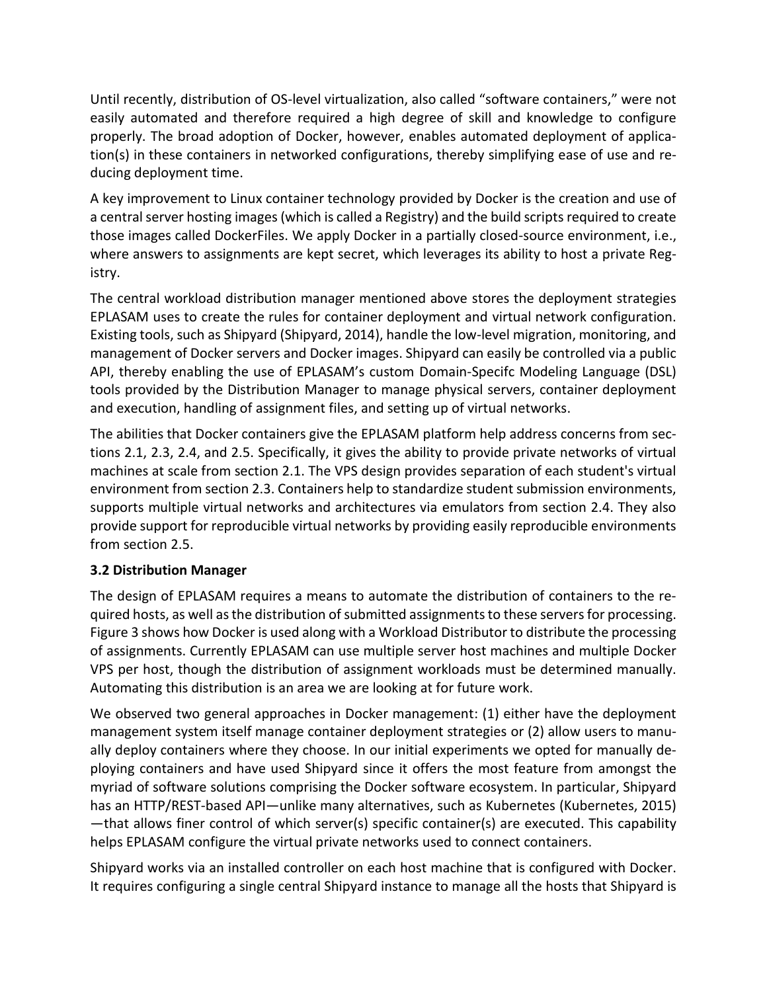Until recently, distribution of OS-level virtualization, also called "software containers," were not easily automated and therefore required a high degree of skill and knowledge to configure properly. The broad adoption of Docker, however, enables automated deployment of application(s) in these containers in networked configurations, thereby simplifying ease of use and reducing deployment time.

A key improvement to Linux container technology provided by Docker is the creation and use of a central server hosting images(which is called a Registry) and the build scripts required to create those images called DockerFiles. We apply Docker in a partially closed-source environment, i.e., where answers to assignments are kept secret, which leverages its ability to host a private Registry.

The central workload distribution manager mentioned above stores the deployment strategies EPLASAM uses to create the rules for container deployment and virtual network configuration. Existing tools, such as Shipyard (Shipyard, 2014), handle the low-level migration, monitoring, and management of Docker servers and Docker images. Shipyard can easily be controlled via a public API, thereby enabling the use of EPLASAM's custom Domain-Specifc Modeling Language (DSL) tools provided by the Distribution Manager to manage physical servers, container deployment and execution, handling of assignment files, and setting up of virtual networks.

The abilities that Docker containers give the EPLASAM platform help address concerns from sections 2.1, 2.3, 2.4, and 2.5. Specifically, it gives the ability to provide private networks of virtual machines at scale from section 2.1. The VPS design provides separation of each student's virtual environment from section 2.3. Containers help to standardize student submission environments, supports multiple virtual networks and architectures via emulators from section 2.4. They also provide support for reproducible virtual networks by providing easily reproducible environments from section 2.5.

#### **3.2 Distribution Manager**

The design of EPLASAM requires a means to automate the distribution of containers to the required hosts, as well asthe distribution of submitted assignments to these servers for processing. Figure 3 shows how Docker is used along with a Workload Distributor to distribute the processing of assignments. Currently EPLASAM can use multiple server host machines and multiple Docker VPS per host, though the distribution of assignment workloads must be determined manually. Automating this distribution is an area we are looking at for future work.

We observed two general approaches in Docker management: (1) either have the deployment management system itself manage container deployment strategies or (2) allow users to manually deploy containers where they choose. In our initial experiments we opted for manually deploying containers and have used Shipyard since it offers the most feature from amongst the myriad of software solutions comprising the Docker software ecosystem. In particular, Shipyard has an HTTP/REST-based API—unlike many alternatives, such as Kubernetes (Kubernetes, 2015) —that allows finer control of which server(s) specific container(s) are executed. This capability helps EPLASAM configure the virtual private networks used to connect containers.

Shipyard works via an installed controller on each host machine that is configured with Docker. It requires configuring a single central Shipyard instance to manage all the hosts that Shipyard is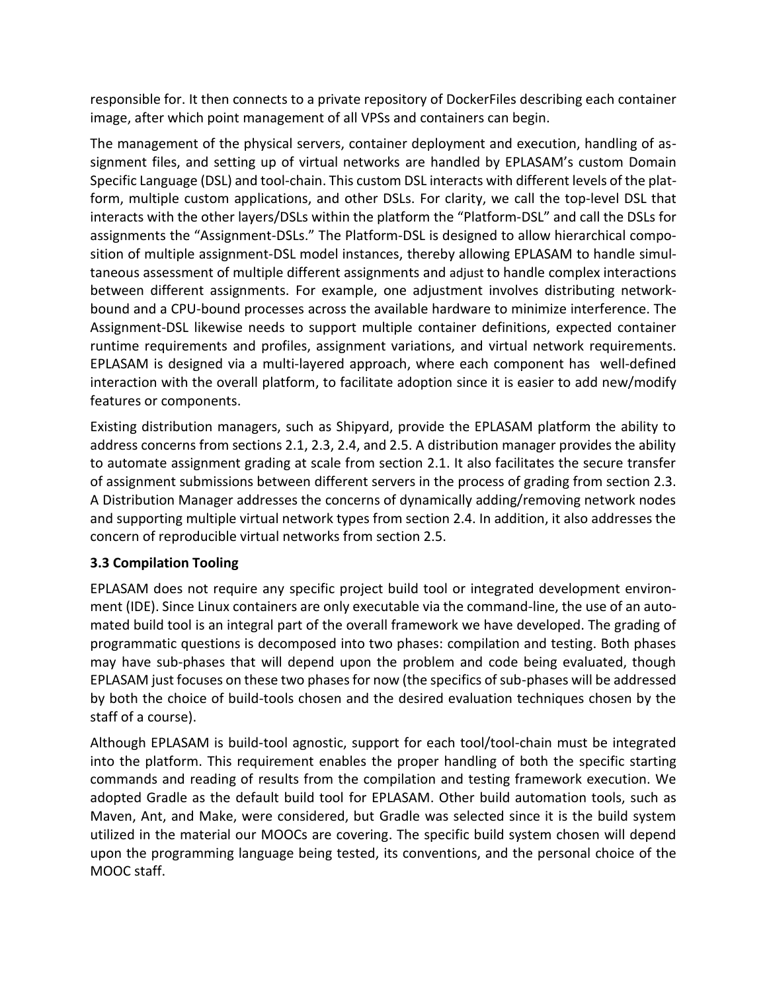responsible for. It then connects to a private repository of DockerFiles describing each container image, after which point management of all VPSs and containers can begin.

The management of the physical servers, container deployment and execution, handling of assignment files, and setting up of virtual networks are handled by EPLASAM's custom Domain Specific Language (DSL) and tool-chain. This custom DSL interacts with different levels of the platform, multiple custom applications, and other DSLs. For clarity, we call the top-level DSL that interacts with the other layers/DSLs within the platform the "Platform-DSL" and call the DSLs for assignments the "Assignment-DSLs." The Platform-DSL is designed to allow hierarchical composition of multiple assignment-DSL model instances, thereby allowing EPLASAM to handle simultaneous assessment of multiple different assignments and adjust to handle complex interactions between different assignments. For example, one adjustment involves distributing networkbound and a CPU-bound processes across the available hardware to minimize interference. The Assignment-DSL likewise needs to support multiple container definitions, expected container runtime requirements and profiles, assignment variations, and virtual network requirements. EPLASAM is designed via a multi-layered approach, where each component has well-defined interaction with the overall platform, to facilitate adoption since it is easier to add new/modify features or components.

Existing distribution managers, such as Shipyard, provide the EPLASAM platform the ability to address concerns from sections 2.1, 2.3, 2.4, and 2.5. A distribution manager provides the ability to automate assignment grading at scale from section 2.1. It also facilitates the secure transfer of assignment submissions between different servers in the process of grading from section 2.3. A Distribution Manager addresses the concerns of dynamically adding/removing network nodes and supporting multiple virtual network types from section 2.4. In addition, it also addresses the concern of reproducible virtual networks from section 2.5.

#### **3.3 Compilation Tooling**

EPLASAM does not require any specific project build tool or integrated development environment (IDE). Since Linux containers are only executable via the command-line, the use of an automated build tool is an integral part of the overall framework we have developed. The grading of programmatic questions is decomposed into two phases: compilation and testing. Both phases may have sub-phases that will depend upon the problem and code being evaluated, though EPLASAM just focuses on these two phases for now (the specifics of sub-phases will be addressed by both the choice of build-tools chosen and the desired evaluation techniques chosen by the staff of a course).

Although EPLASAM is build-tool agnostic, support for each tool/tool-chain must be integrated into the platform. This requirement enables the proper handling of both the specific starting commands and reading of results from the compilation and testing framework execution. We adopted Gradle as the default build tool for EPLASAM. Other build automation tools, such as Maven, Ant, and Make, were considered, but Gradle was selected since it is the build system utilized in the material our MOOCs are covering. The specific build system chosen will depend upon the programming language being tested, its conventions, and the personal choice of the MOOC staff.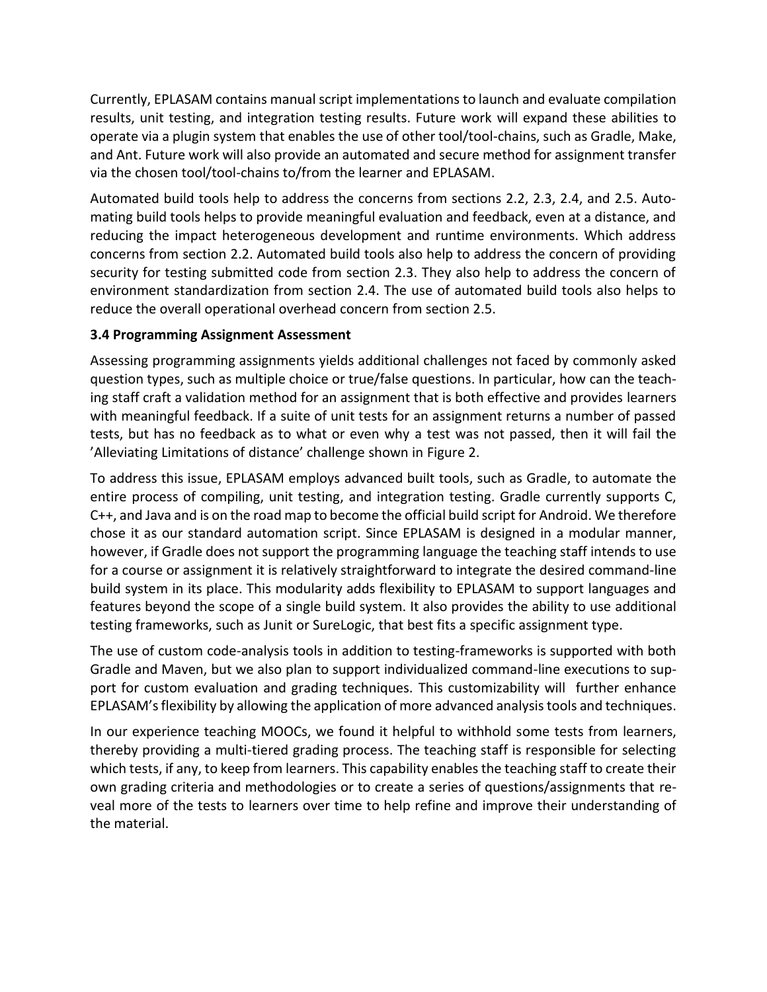Currently, EPLASAM contains manual script implementations to launch and evaluate compilation results, unit testing, and integration testing results. Future work will expand these abilities to operate via a plugin system that enables the use of other tool/tool-chains, such as Gradle, Make, and Ant. Future work will also provide an automated and secure method for assignment transfer via the chosen tool/tool-chains to/from the learner and EPLASAM.

Automated build tools help to address the concerns from sections 2.2, 2.3, 2.4, and 2.5. Automating build tools helps to provide meaningful evaluation and feedback, even at a distance, and reducing the impact heterogeneous development and runtime environments. Which address concerns from section 2.2. Automated build tools also help to address the concern of providing security for testing submitted code from section 2.3. They also help to address the concern of environment standardization from section 2.4. The use of automated build tools also helps to reduce the overall operational overhead concern from section 2.5.

#### **3.4 Programming Assignment Assessment**

Assessing programming assignments yields additional challenges not faced by commonly asked question types, such as multiple choice or true/false questions. In particular, how can the teaching staff craft a validation method for an assignment that is both effective and provides learners with meaningful feedback. If a suite of unit tests for an assignment returns a number of passed tests, but has no feedback as to what or even why a test was not passed, then it will fail the 'Alleviating Limitations of distance' challenge shown in Figure 2.

To address this issue, EPLASAM employs advanced built tools, such as Gradle, to automate the entire process of compiling, unit testing, and integration testing. Gradle currently supports C, C++, and Java and is on the road map to become the official build script for Android. We therefore chose it as our standard automation script. Since EPLASAM is designed in a modular manner, however, if Gradle does not support the programming language the teaching staff intends to use for a course or assignment it is relatively straightforward to integrate the desired command-line build system in its place. This modularity adds flexibility to EPLASAM to support languages and features beyond the scope of a single build system. It also provides the ability to use additional testing frameworks, such as Junit or SureLogic, that best fits a specific assignment type.

The use of custom code-analysis tools in addition to testing-frameworks is supported with both Gradle and Maven, but we also plan to support individualized command-line executions to support for custom evaluation and grading techniques. This customizability will further enhance EPLASAM's flexibility by allowing the application of more advanced analysis tools and techniques.

In our experience teaching MOOCs, we found it helpful to withhold some tests from learners, thereby providing a multi-tiered grading process. The teaching staff is responsible for selecting which tests, if any, to keep from learners. This capability enables the teaching staff to create their own grading criteria and methodologies or to create a series of questions/assignments that reveal more of the tests to learners over time to help refine and improve their understanding of the material.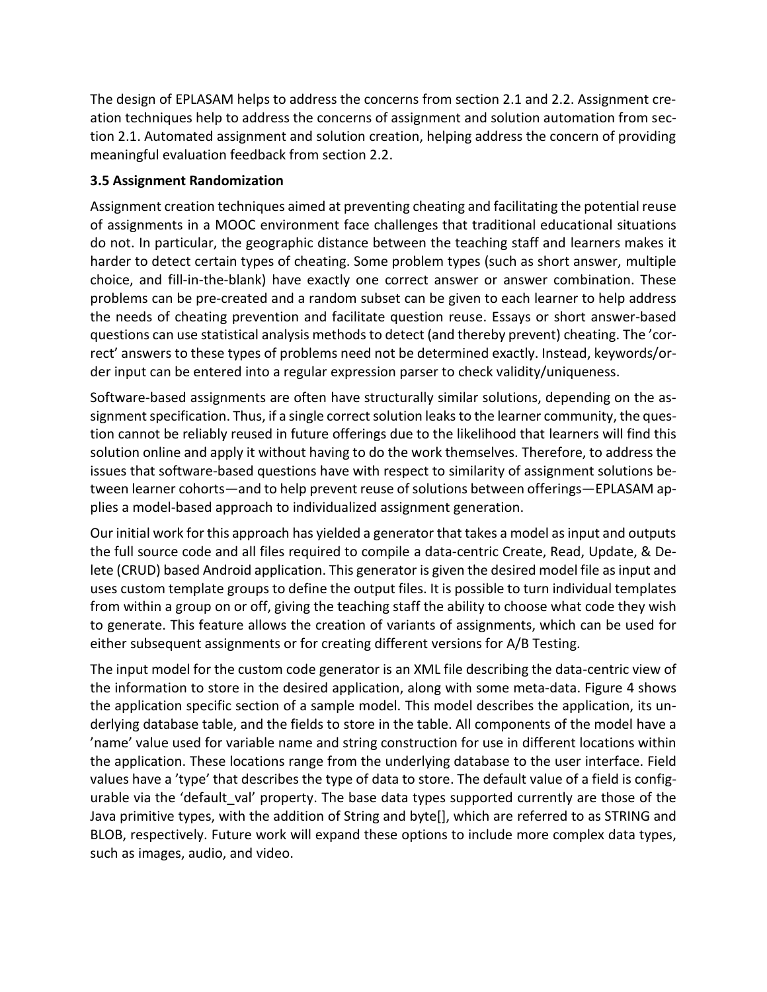The design of EPLASAM helps to address the concerns from section 2.1 and 2.2. Assignment creation techniques help to address the concerns of assignment and solution automation from section 2.1. Automated assignment and solution creation, helping address the concern of providing meaningful evaluation feedback from section 2.2.

#### **3.5 Assignment Randomization**

Assignment creation techniques aimed at preventing cheating and facilitating the potential reuse of assignments in a MOOC environment face challenges that traditional educational situations do not. In particular, the geographic distance between the teaching staff and learners makes it harder to detect certain types of cheating. Some problem types (such as short answer, multiple choice, and fill-in-the-blank) have exactly one correct answer or answer combination. These problems can be pre-created and a random subset can be given to each learner to help address the needs of cheating prevention and facilitate question reuse. Essays or short answer-based questions can use statistical analysis methods to detect (and thereby prevent) cheating. The 'correct' answers to these types of problems need not be determined exactly. Instead, keywords/order input can be entered into a regular expression parser to check validity/uniqueness.

Software-based assignments are often have structurally similar solutions, depending on the assignment specification. Thus, if a single correct solution leaksto the learner community, the question cannot be reliably reused in future offerings due to the likelihood that learners will find this solution online and apply it without having to do the work themselves. Therefore, to address the issues that software-based questions have with respect to similarity of assignment solutions between learner cohorts—and to help prevent reuse of solutions between offerings—EPLASAM applies a model-based approach to individualized assignment generation.

Our initial work for this approach has yielded a generator that takes a model as input and outputs the full source code and all files required to compile a data-centric Create, Read, Update, & Delete (CRUD) based Android application. This generator is given the desired model file as input and uses custom template groups to define the output files. It is possible to turn individual templates from within a group on or off, giving the teaching staff the ability to choose what code they wish to generate. This feature allows the creation of variants of assignments, which can be used for either subsequent assignments or for creating different versions for A/B Testing.

The input model for the custom code generator is an XML file describing the data-centric view of the information to store in the desired application, along with some meta-data. Figure 4 shows the application specific section of a sample model. This model describes the application, its underlying database table, and the fields to store in the table. All components of the model have a 'name' value used for variable name and string construction for use in different locations within the application. These locations range from the underlying database to the user interface. Field values have a 'type' that describes the type of data to store. The default value of a field is configurable via the 'default\_val' property. The base data types supported currently are those of the Java primitive types, with the addition of String and byte[], which are referred to as STRING and BLOB, respectively. Future work will expand these options to include more complex data types, such as images, audio, and video.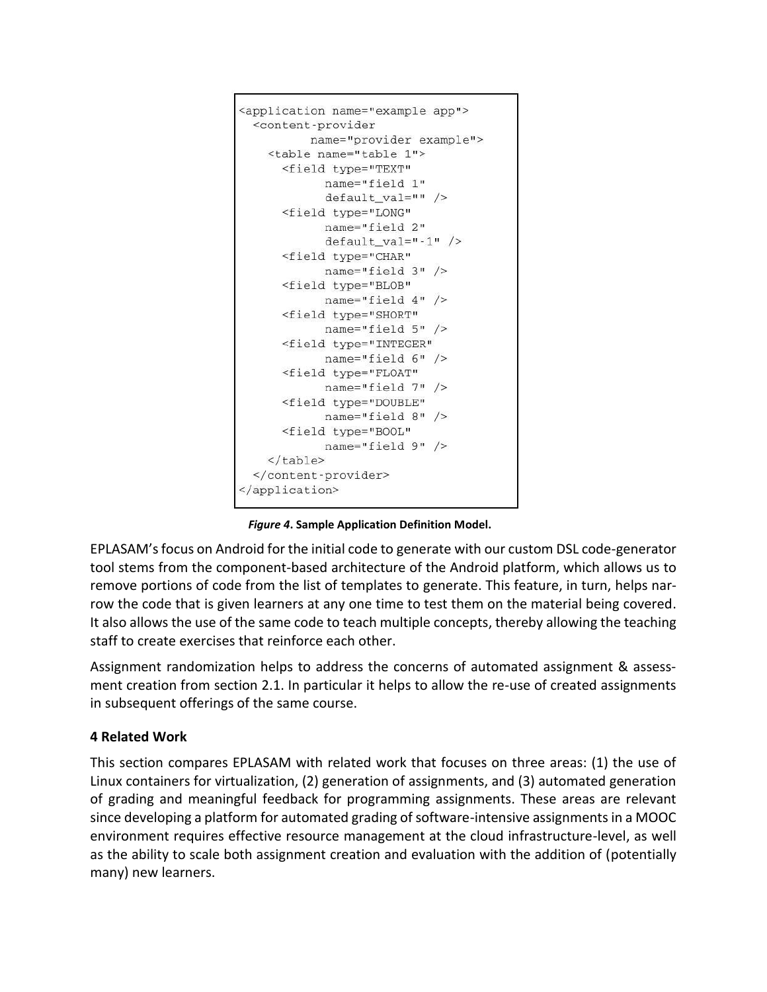```
<application name="example app">
 <content-provider
         name="provider example">
   <table name="table 1">
     <field type="TEXT"
           name="field 1"
           default_val="" />
     <field type="LONG"
          name="field 2"
           default_value"-1" />
     <field type="CHAR"
           name="field 3" />
     <field type="BLOB"
           name="field 4" />
     <field type="SHORT"
           name="file1d 5" />
     <field type="INTEGER"
           name="field 6" />
     <field type="FLOAT"
          name="field 7" />
     <field type="DOUBLE"
           name="field 8" />
     <field type="BOOL"
          name="field 9" />
   \langle/table>
 </content-provider>
</application>
```
 *Figure 4***. Sample Application Definition Model.**

EPLASAM'sfocus on Android for the initial code to generate with our custom DSL code-generator tool stems from the component-based architecture of the Android platform, which allows us to remove portions of code from the list of templates to generate. This feature, in turn, helps narrow the code that is given learners at any one time to test them on the material being covered. It also allows the use of the same code to teach multiple concepts, thereby allowing the teaching staff to create exercises that reinforce each other.

Assignment randomization helps to address the concerns of automated assignment & assessment creation from section 2.1. In particular it helps to allow the re-use of created assignments in subsequent offerings of the same course.

### **4 Related Work**

This section compares EPLASAM with related work that focuses on three areas: (1) the use of Linux containers for virtualization, (2) generation of assignments, and (3) automated generation of grading and meaningful feedback for programming assignments. These areas are relevant since developing a platform for automated grading of software-intensive assignments in a MOOC environment requires effective resource management at the cloud infrastructure-level, as well as the ability to scale both assignment creation and evaluation with the addition of (potentially many) new learners.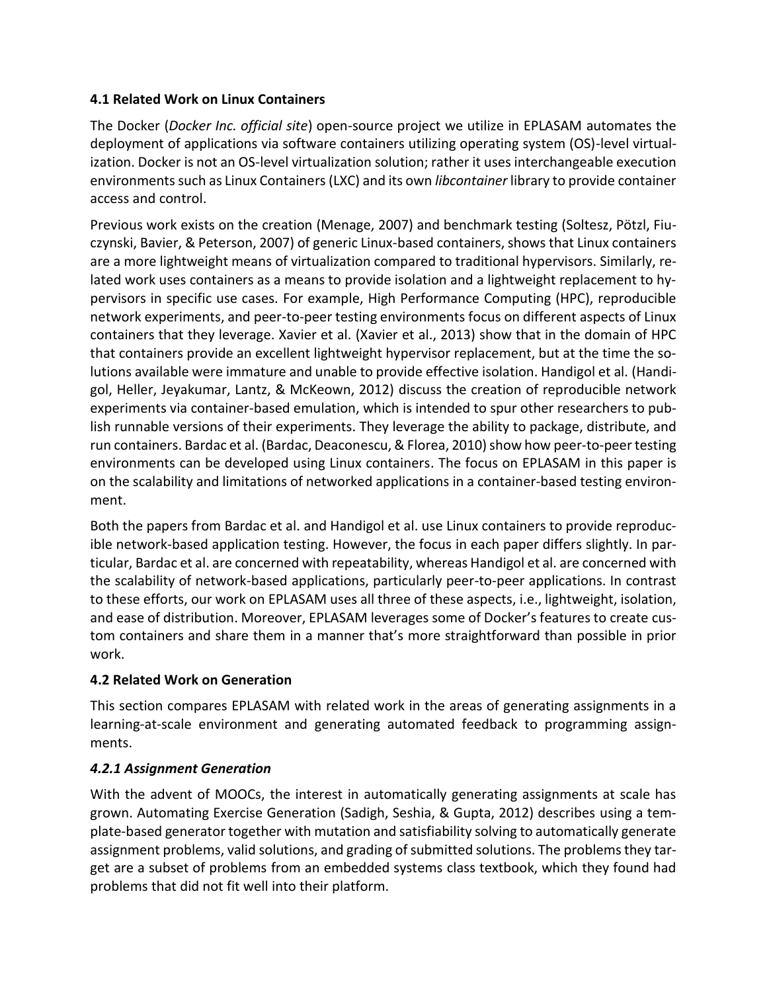#### **4.1 Related Work on Linux Containers**

The Docker (*Docker Inc. official site*) open-source project we utilize in EPLASAM automates the deployment of applications via software containers utilizing operating system (OS)-level virtualization. Docker is not an OS-level virtualization solution; rather it uses interchangeable execution environments such as Linux Containers (LXC) and its own *libcontainer* library to provide container access and control.

Previous work exists on the creation (Menage, 2007) and benchmark testing (Soltesz, Pötzl, Fiuczynski, Bavier, & Peterson, 2007) of generic Linux-based containers, shows that Linux containers are a more lightweight means of virtualization compared to traditional hypervisors. Similarly, related work uses containers as a means to provide isolation and a lightweight replacement to hypervisors in specific use cases. For example, High Performance Computing (HPC), reproducible network experiments, and peer-to-peer testing environments focus on different aspects of Linux containers that they leverage. Xavier et al. (Xavier et al., 2013) show that in the domain of HPC that containers provide an excellent lightweight hypervisor replacement, but at the time the solutions available were immature and unable to provide effective isolation. Handigol et al. (Handigol, Heller, Jeyakumar, Lantz, & McKeown, 2012) discuss the creation of reproducible network experiments via container-based emulation, which is intended to spur other researchers to publish runnable versions of their experiments. They leverage the ability to package, distribute, and run containers. Bardac et al. (Bardac, Deaconescu, & Florea, 2010) show how peer-to-peer testing environments can be developed using Linux containers. The focus on EPLASAM in this paper is on the scalability and limitations of networked applications in a container-based testing environment.

Both the papers from Bardac et al. and Handigol et al. use Linux containers to provide reproducible network-based application testing. However, the focus in each paper differs slightly. In particular, Bardac et al. are concerned with repeatability, whereas Handigol et al. are concerned with the scalability of network-based applications, particularly peer-to-peer applications. In contrast to these efforts, our work on EPLASAM uses all three of these aspects, i.e., lightweight, isolation, and ease of distribution. Moreover, EPLASAM leverages some of Docker's features to create custom containers and share them in a manner that's more straightforward than possible in prior work.

### **4.2 Related Work on Generation**

This section compares EPLASAM with related work in the areas of generating assignments in a learning-at-scale environment and generating automated feedback to programming assignments.

#### *4.2.1 Assignment Generation*

With the advent of MOOCs, the interest in automatically generating assignments at scale has grown. Automating Exercise Generation (Sadigh, Seshia, & Gupta, 2012) describes using a template-based generator together with mutation and satisfiability solving to automatically generate assignment problems, valid solutions, and grading of submitted solutions. The problems they target are a subset of problems from an embedded systems class textbook, which they found had problems that did not fit well into their platform.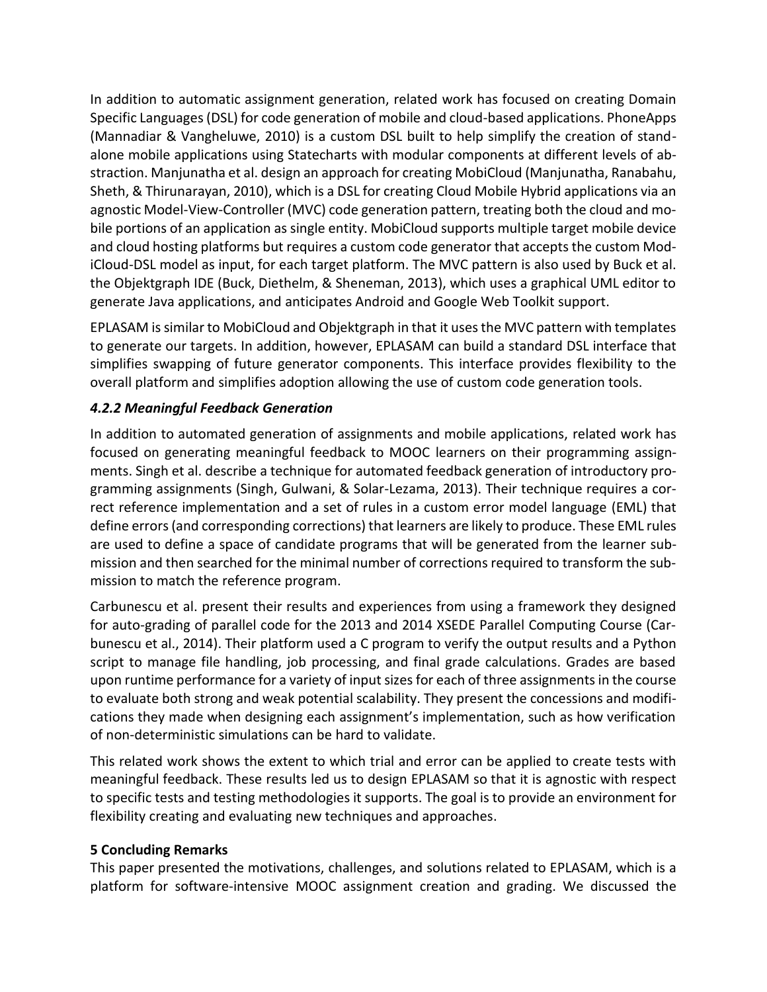In addition to automatic assignment generation, related work has focused on creating Domain Specific Languages (DSL) for code generation of mobile and cloud-based applications. PhoneApps (Mannadiar & Vangheluwe, 2010) is a custom DSL built to help simplify the creation of standalone mobile applications using Statecharts with modular components at different levels of abstraction. Manjunatha et al. design an approach for creating MobiCloud (Manjunatha, Ranabahu, Sheth, & Thirunarayan, 2010), which is a DSL for creating Cloud Mobile Hybrid applications via an agnostic Model-View-Controller (MVC) code generation pattern, treating both the cloud and mobile portions of an application as single entity. MobiCloud supports multiple target mobile device and cloud hosting platforms but requires a custom code generator that accepts the custom ModiCloud-DSL model as input, for each target platform. The MVC pattern is also used by Buck et al. the Objektgraph IDE (Buck, Diethelm, & Sheneman, 2013), which uses a graphical UML editor to generate Java applications, and anticipates Android and Google Web Toolkit support.

EPLASAM is similar to MobiCloud and Objektgraph in that it usesthe MVC pattern with templates to generate our targets. In addition, however, EPLASAM can build a standard DSL interface that simplifies swapping of future generator components. This interface provides flexibility to the overall platform and simplifies adoption allowing the use of custom code generation tools.

### *4.2.2 Meaningful Feedback Generation*

In addition to automated generation of assignments and mobile applications, related work has focused on generating meaningful feedback to MOOC learners on their programming assignments. Singh et al. describe a technique for automated feedback generation of introductory programming assignments (Singh, Gulwani, & Solar-Lezama, 2013). Their technique requires a correct reference implementation and a set of rules in a custom error model language (EML) that define errors(and corresponding corrections) that learners are likely to produce. These EML rules are used to define a space of candidate programs that will be generated from the learner submission and then searched for the minimal number of corrections required to transform the submission to match the reference program.

Carbunescu et al. present their results and experiences from using a framework they designed for auto-grading of parallel code for the 2013 and 2014 XSEDE Parallel Computing Course (Carbunescu et al., 2014). Their platform used a C program to verify the output results and a Python script to manage file handling, job processing, and final grade calculations. Grades are based upon runtime performance for a variety of input sizes for each of three assignments in the course to evaluate both strong and weak potential scalability. They present the concessions and modifications they made when designing each assignment's implementation, such as how verification of non-deterministic simulations can be hard to validate.

This related work shows the extent to which trial and error can be applied to create tests with meaningful feedback. These results led us to design EPLASAM so that it is agnostic with respect to specific tests and testing methodologies it supports. The goal is to provide an environment for flexibility creating and evaluating new techniques and approaches.

#### **5 Concluding Remarks**

This paper presented the motivations, challenges, and solutions related to EPLASAM, which is a platform for software-intensive MOOC assignment creation and grading. We discussed the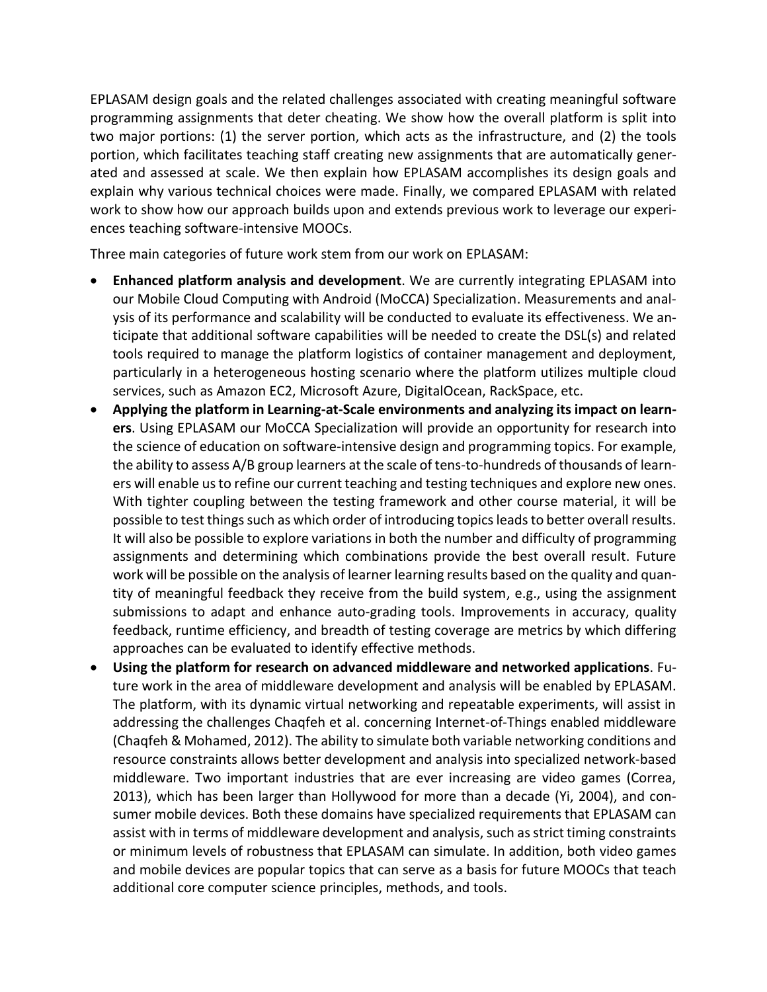EPLASAM design goals and the related challenges associated with creating meaningful software programming assignments that deter cheating. We show how the overall platform is split into two major portions: (1) the server portion, which acts as the infrastructure, and (2) the tools portion, which facilitates teaching staff creating new assignments that are automatically generated and assessed at scale. We then explain how EPLASAM accomplishes its design goals and explain why various technical choices were made. Finally, we compared EPLASAM with related work to show how our approach builds upon and extends previous work to leverage our experiences teaching software-intensive MOOCs.

Three main categories of future work stem from our work on EPLASAM:

- **Enhanced platform analysis and development**. We are currently integrating EPLASAM into our Mobile Cloud Computing with Android (MoCCA) Specialization. Measurements and analysis of its performance and scalability will be conducted to evaluate its effectiveness. We anticipate that additional software capabilities will be needed to create the DSL(s) and related tools required to manage the platform logistics of container management and deployment, particularly in a heterogeneous hosting scenario where the platform utilizes multiple cloud services, such as Amazon EC2, Microsoft Azure, DigitalOcean, RackSpace, etc.
- **Applying the platform in Learning-at-Scale environments and analyzing its impact on learners**. Using EPLASAM our MoCCA Specialization will provide an opportunity for research into the science of education on software-intensive design and programming topics. For example, the ability to assess A/B group learners at the scale of tens-to-hundreds of thousands of learners will enable us to refine our current teaching and testing techniques and explore new ones. With tighter coupling between the testing framework and other course material, it will be possible to test things such as which order of introducing topics leads to better overall results. It will also be possible to explore variations in both the number and difficulty of programming assignments and determining which combinations provide the best overall result. Future work will be possible on the analysis of learner learning results based on the quality and quantity of meaningful feedback they receive from the build system, e.g., using the assignment submissions to adapt and enhance auto-grading tools. Improvements in accuracy, quality feedback, runtime efficiency, and breadth of testing coverage are metrics by which differing approaches can be evaluated to identify effective methods.
- **Using the platform for research on advanced middleware and networked applications**. Future work in the area of middleware development and analysis will be enabled by EPLASAM. The platform, with its dynamic virtual networking and repeatable experiments, will assist in addressing the challenges Chaqfeh et al. concerning Internet-of-Things enabled middleware (Chaqfeh & Mohamed, 2012). The ability to simulate both variable networking conditions and resource constraints allows better development and analysis into specialized network-based middleware. Two important industries that are ever increasing are video games (Correa, 2013), which has been larger than Hollywood for more than a decade (Yi, 2004), and consumer mobile devices. Both these domains have specialized requirements that EPLASAM can assist with in terms of middleware development and analysis, such as strict timing constraints or minimum levels of robustness that EPLASAM can simulate. In addition, both video games and mobile devices are popular topics that can serve as a basis for future MOOCs that teach additional core computer science principles, methods, and tools.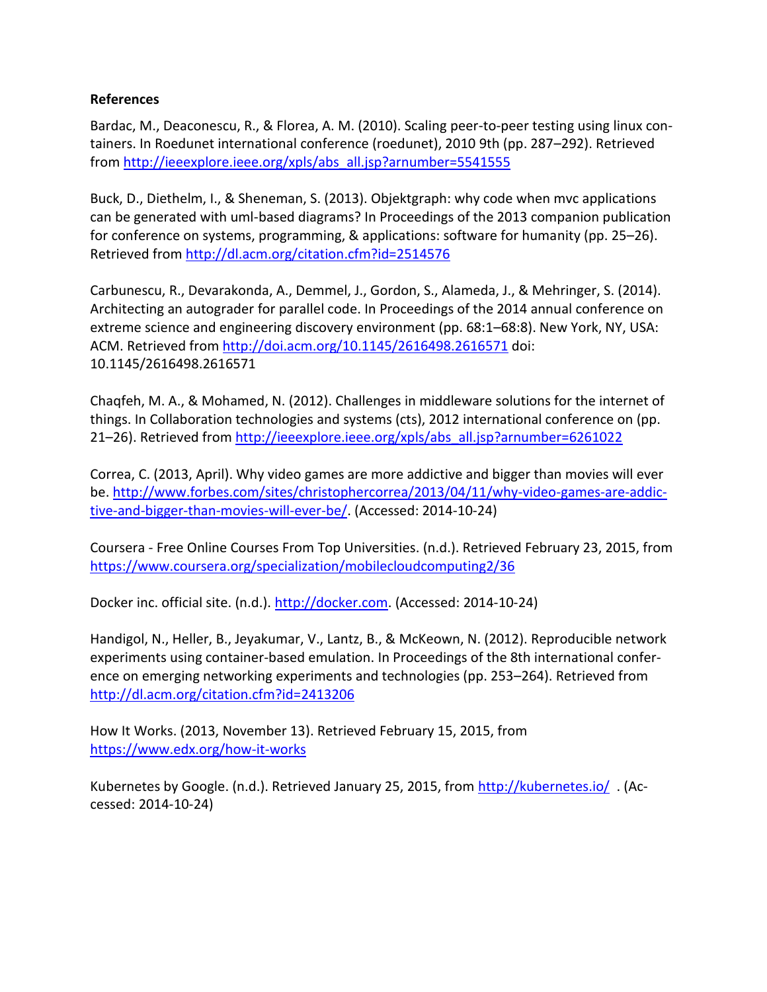#### **References**

Bardac, M., Deaconescu, R., & Florea, A. M. (2010). Scaling peer-to-peer testing using linux containers. In Roedunet international conference (roedunet), 2010 9th (pp. 287–292). Retrieved from [http://ieeexplore.ieee.org/xpls/abs\\_all.jsp?arnumber=5541555](http://ieeexplore.ieee.org/xpls/abs_all.jsp?arnumber=5541555)

Buck, D., Diethelm, I., & Sheneman, S. (2013). Objektgraph: why code when mvc applications can be generated with uml-based diagrams? In Proceedings of the 2013 companion publication for conference on systems, programming, & applications: software for humanity (pp. 25–26). Retrieved from<http://dl.acm.org/citation.cfm?id=2514576>

Carbunescu, R., Devarakonda, A., Demmel, J., Gordon, S., Alameda, J., & Mehringer, S. (2014). Architecting an autograder for parallel code. In Proceedings of the 2014 annual conference on extreme science and engineering discovery environment (pp. 68:1–68:8). New York, NY, USA: ACM. Retrieved fro[m http://doi.acm.org/10.1145/2616498.2616571](http://doi.acm.org/10.1145/2616498.2616571) doi: 10.1145/2616498.2616571

Chaqfeh, M. A., & Mohamed, N. (2012). Challenges in middleware solutions for the internet of things. In Collaboration technologies and systems (cts), 2012 international conference on (pp. 21-26). Retrieved from [http://ieeexplore.ieee.org/xpls/abs\\_all.jsp?arnumber=6261022](http://ieeexplore.ieee.org/xpls/abs_all.jsp?arnumber=6261022)

Correa, C. (2013, April). Why video games are more addictive and bigger than movies will ever be. [http://www.forbes.com/sites/christophercorrea/2013/04/11/why-video-games-are-addic](http://www.forbes.com/sites/christophercorrea/2013/04/11/why-video-games-are-addictive-and-bigger-than-movies-will-ever-be/)[tive-and-bigger-than-movies-will-ever-be/.](http://www.forbes.com/sites/christophercorrea/2013/04/11/why-video-games-are-addictive-and-bigger-than-movies-will-ever-be/) (Accessed: 2014-10-24)

Coursera - Free Online Courses From Top Universities. (n.d.). Retrieved February 23, 2015, from <https://www.coursera.org/specialization/mobilecloudcomputing2/36>

Docker inc. official site. (n.d.). [http://docker.com.](http://docker.com/) (Accessed: 2014-10-24)

Handigol, N., Heller, B., Jeyakumar, V., Lantz, B., & McKeown, N. (2012). Reproducible network experiments using container-based emulation. In Proceedings of the 8th international conference on emerging networking experiments and technologies (pp. 253–264). Retrieved from <http://dl.acm.org/citation.cfm?id=2413206>

How It Works. (2013, November 13). Retrieved February 15, 2015, from <https://www.edx.org/how-it-works>

Kubernetes by Google. (n.d.). Retrieved January 25, 2015, from<http://kubernetes.io/> . (Accessed: 2014-10-24)